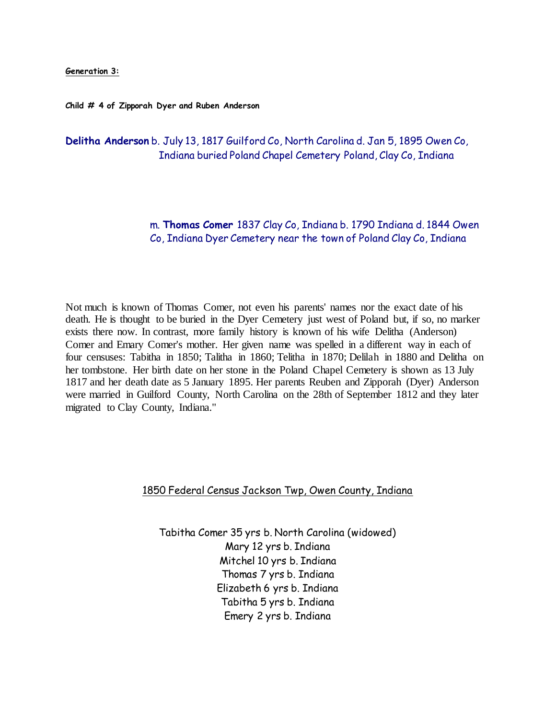**Generation 3:**

**Child # 4 of Zipporah Dyer and Ruben Anderson**

**Delitha Anderson** b. July 13, 1817 Guilford Co, North Carolina d. Jan 5, 1895 Owen Co, Indiana buried Poland Chapel Cemetery Poland, Clay Co, Indiana

> m. **Thomas Comer** 1837 Clay Co, Indiana b. 1790 Indiana d. 1844 Owen Co, Indiana Dyer Cemetery near the town of Poland Clay Co, Indiana

Not much is known of Thomas Comer, not even his parents' names nor the exact date of his death. He is thought to be buried in the Dyer Cemetery just west of Poland but, if so, no marker exists there now. In contrast, more family history is known of his wife Delitha (Anderson) Comer and Emary Comer's mother. Her given name was spelled in a different way in each of four censuses: Tabitha in 1850; Talitha in 1860; Telitha in 1870; Delilah in 1880 and Delitha on her tombstone. Her birth date on her stone in the Poland Chapel Cemetery is shown as 13 July 1817 and her death date as 5 January 1895. Her parents Reuben and Zipporah (Dyer) Anderson were married in Guilford County, North Carolina on the 28th of September 1812 and they later migrated to Clay County, Indiana."

### 1850 Federal Census Jackson Twp, Owen County, Indiana

Tabitha Comer 35 yrs b. North Carolina (widowed) Mary 12 yrs b. Indiana Mitchel 10 yrs b. Indiana Thomas 7 yrs b. Indiana Elizabeth 6 yrs b. Indiana Tabitha 5 yrs b. Indiana Emery 2 yrs b. Indiana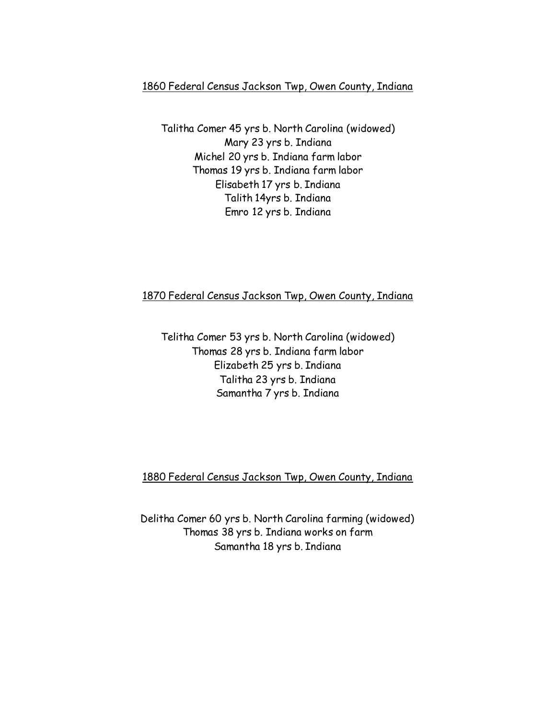# 1860 Federal Census Jackson Twp, Owen County, Indiana

Talitha Comer 45 yrs b. North Carolina (widowed) Mary 23 yrs b. Indiana Michel 20 yrs b. Indiana farm labor Thomas 19 yrs b. Indiana farm labor Elisabeth 17 yrs b. Indiana Talith 14yrs b. Indiana Emro 12 yrs b. Indiana

### 1870 Federal Census Jackson Twp, Owen County, Indiana

Telitha Comer 53 yrs b. North Carolina (widowed) Thomas 28 yrs b. Indiana farm labor Elizabeth 25 yrs b. Indiana Talitha 23 yrs b. Indiana Samantha 7 yrs b. Indiana

## 1880 Federal Census Jackson Twp, Owen County, Indiana

Delitha Comer 60 yrs b. North Carolina farming (widowed) Thomas 38 yrs b. Indiana works on farm Samantha 18 yrs b. Indiana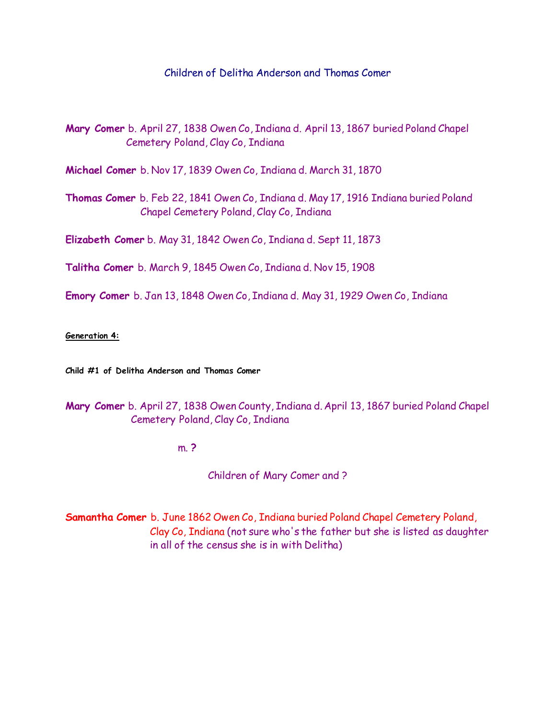### Children of Delitha Anderson and Thomas Comer

**Mary Comer** b. April 27, 1838 Owen Co, Indiana d. April 13, 1867 buried Poland Chapel Cemetery Poland, Clay Co, Indiana

**Michael Comer** b. Nov 17, 1839 Owen Co, Indiana d. March 31, 1870

**Thomas Comer** b. Feb 22, 1841 Owen Co, Indiana d. May 17, 1916 Indiana buried Poland Chapel Cemetery Poland, Clay Co, Indiana

**Elizabeth Comer** b. May 31, 1842 Owen Co, Indiana d. Sept 11, 1873

**Talitha Comer** b. March 9, 1845 Owen Co, Indiana d. Nov 15, 1908

**Emory Comer** b. Jan 13, 1848 Owen Co, Indiana d. May 31, 1929 Owen Co, Indiana

#### **Generation 4:**

**Child #1 of Delitha Anderson and Thomas Comer**

## **Mary Comer** b. April 27, 1838 Owen County, Indiana d. April 13, 1867 buried Poland Chapel Cemetery Poland, Clay Co, Indiana

m. **?**

Children of Mary Comer and ?

**Samantha Comer** b. June 1862 Owen Co, Indiana buried Poland Chapel Cemetery Poland, Clay Co, Indiana (not sure who's the father but she is listed as daughter in all of the census she is in with Delitha)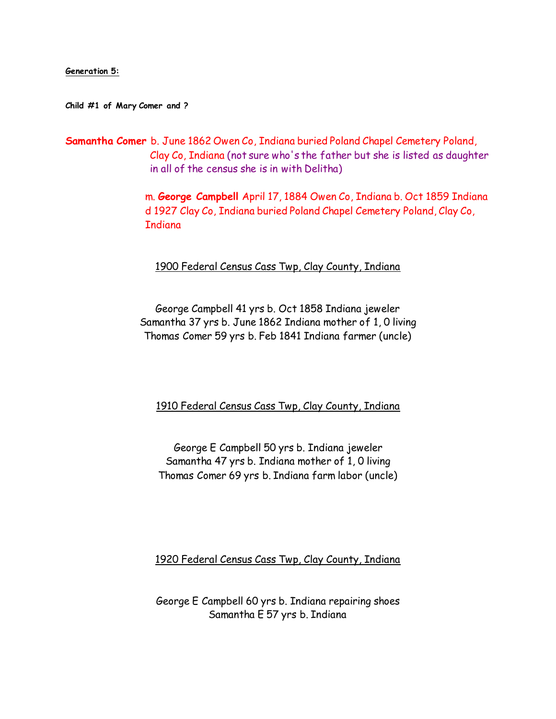**Generation 5:**

**Child #1 of Mary Comer and ?**

**Samantha Comer** b. June 1862 Owen Co, Indiana buried Poland Chapel Cemetery Poland, Clay Co, Indiana (not sure who's the father but she is listed as daughter in all of the census she is in with Delitha)

> m. **George Campbell** April 17, 1884 Owen Co, Indiana b. Oct 1859 Indiana d 1927 Clay Co, Indiana buried Poland Chapel Cemetery Poland, Clay Co, **Indiana**

1900 Federal Census Cass Twp, Clay County, Indiana

George Campbell 41 yrs b. Oct 1858 Indiana jeweler Samantha 37 yrs b. June 1862 Indiana mother of 1, 0 living Thomas Comer 59 yrs b. Feb 1841 Indiana farmer (uncle)

1910 Federal Census Cass Twp, Clay County, Indiana

George E Campbell 50 yrs b. Indiana jeweler Samantha 47 yrs b. Indiana mother of 1, 0 living Thomas Comer 69 yrs b. Indiana farm labor (uncle)

1920 Federal Census Cass Twp, Clay County, Indiana

George E Campbell 60 yrs b. Indiana repairing shoes Samantha E 57 yrs b. Indiana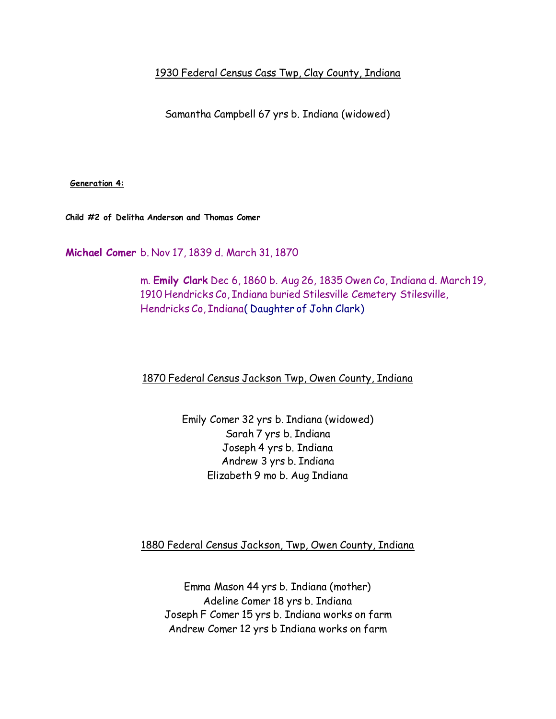1930 Federal Census Cass Twp, Clay County, Indiana

Samantha Campbell 67 yrs b. Indiana (widowed)

**Generation 4:**

**Child #2 of Delitha Anderson and Thomas Comer**

**Michael Comer** b. Nov 17, 1839 d. March 31, 1870

 m. **Emily Clark** Dec 6, 1860 b. Aug 26, 1835 Owen Co, Indiana d. March 19, 1910 Hendricks Co, Indiana buried Stilesville Cemetery Stilesville, Hendricks Co, Indiana( Daughter of John Clark)

## 1870 Federal Census Jackson Twp, Owen County, Indiana

Emily Comer 32 yrs b. Indiana (widowed) Sarah 7 yrs b. Indiana Joseph 4 yrs b. Indiana Andrew 3 yrs b. Indiana Elizabeth 9 mo b. Aug Indiana

1880 Federal Census Jackson, Twp, Owen County, Indiana

Emma Mason 44 yrs b. Indiana (mother) Adeline Comer 18 yrs b. Indiana Joseph F Comer 15 yrs b. Indiana works on farm Andrew Comer 12 yrs b Indiana works on farm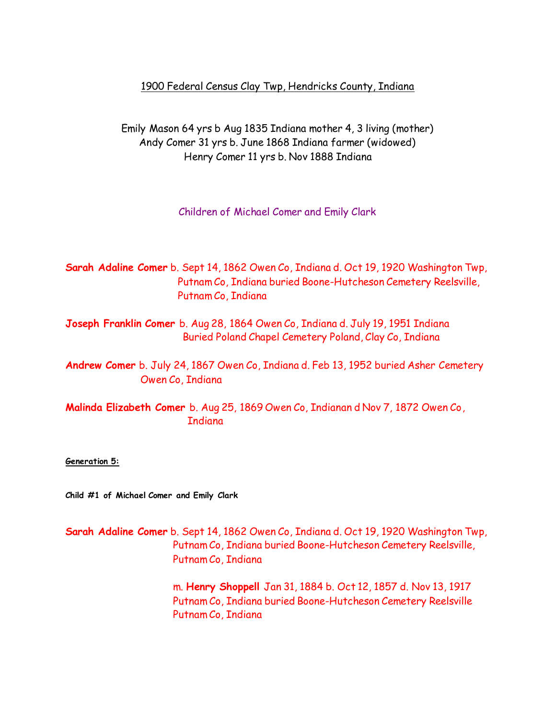## 1900 Federal Census Clay Twp, Hendricks County, Indiana

Emily Mason 64 yrs b Aug 1835 Indiana mother 4, 3 living (mother) Andy Comer 31 yrs b. June 1868 Indiana farmer (widowed) Henry Comer 11 yrs b. Nov 1888 Indiana

Children of Michael Comer and Emily Clark

**Sarah Adaline Comer** b. Sept 14, 1862 Owen Co, Indiana d. Oct 19, 1920 Washington Twp, Putnam Co, Indiana buried Boone-Hutcheson Cemetery Reelsville, Putnam Co, Indiana

**Joseph Franklin Comer** b. Aug 28, 1864 Owen Co, Indiana d. July 19, 1951 Indiana Buried Poland Chapel Cemetery Poland, Clay Co, Indiana

**Andrew Comer** b. July 24, 1867 Owen Co, Indiana d. Feb 13, 1952 buried Asher Cemetery Owen Co, Indiana

**Malinda Elizabeth Comer** b. Aug 25, 1869 Owen Co, Indianan d Nov 7, 1872 Owen Co, **Indiana** 

**Generation 5:**

**Child #1 of Michael Comer and Emily Clark**

**Sarah Adaline Comer** b. Sept 14, 1862 Owen Co, Indiana d. Oct 19, 1920 Washington Twp, Putnam Co, Indiana buried Boone-Hutcheson Cemetery Reelsville, Putnam Co, Indiana

> m. **Henry Shoppell** Jan 31, 1884 b. Oct 12, 1857 d. Nov 13, 1917 Putnam Co, Indiana buried Boone-Hutcheson Cemetery Reelsville Putnam Co, Indiana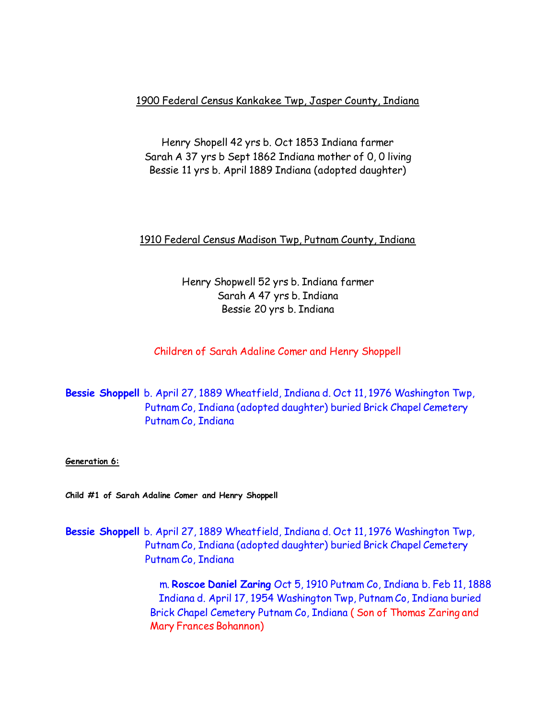1900 Federal Census Kankakee Twp, Jasper County, Indiana

Henry Shopell 42 yrs b. Oct 1853 Indiana farmer Sarah A 37 yrs b Sept 1862 Indiana mother of 0, 0 living Bessie 11 yrs b. April 1889 Indiana (adopted daughter)

## 1910 Federal Census Madison Twp, Putnam County, Indiana

Henry Shopwell 52 yrs b. Indiana farmer Sarah A 47 yrs b. Indiana Bessie 20 yrs b. Indiana

## Children of Sarah Adaline Comer and Henry Shoppell

**Bessie Shoppell** b. April 27, 1889 Wheatfield, Indiana d. Oct 11, 1976 Washington Twp, Putnam Co, Indiana (adopted daughter) buried Brick Chapel Cemetery Putnam Co, Indiana

**Generation 6:**

**Child #1 of Sarah Adaline Comer and Henry Shoppell**

**Bessie Shoppell** b. April 27, 1889 Wheatfield, Indiana d. Oct 11, 1976 Washington Twp, Putnam Co, Indiana (adopted daughter) buried Brick Chapel Cemetery Putnam Co, Indiana

> m. **Roscoe Daniel Zaring** Oct 5, 1910 Putnam Co, Indiana b. Feb 11, 1888 Indiana d. April 17, 1954 Washington Twp, Putnam Co, Indiana buried Brick Chapel Cemetery Putnam Co, Indiana ( Son of Thomas Zaring and Mary Frances Bohannon)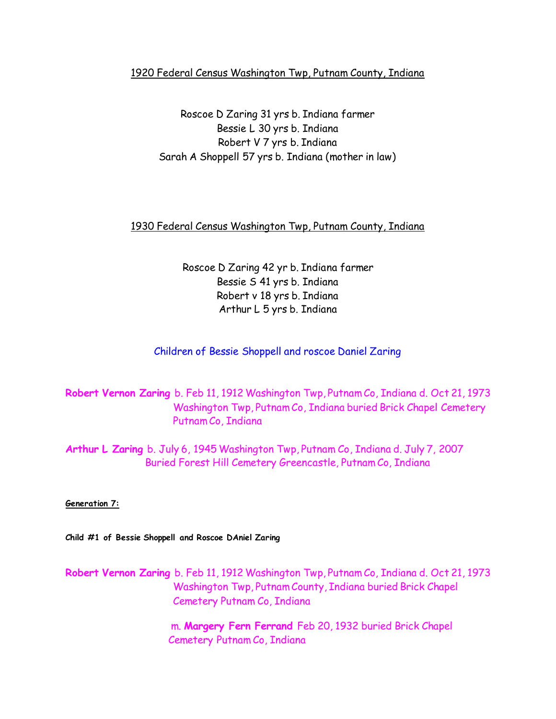## 1920 Federal Census Washington Twp, Putnam County, Indiana

Roscoe D Zaring 31 yrs b. Indiana farmer Bessie L 30 yrs b. Indiana Robert V 7 yrs b. Indiana Sarah A Shoppell 57 yrs b. Indiana (mother in law)

## 1930 Federal Census Washington Twp, Putnam County, Indiana

Roscoe D Zaring 42 yr b. Indiana farmer Bessie S 41 yrs b. Indiana Robert v 18 yrs b. Indiana Arthur L 5 yrs b. Indiana

## Children of Bessie Shoppell and roscoe Daniel Zaring

**Robert Vernon Zaring** b. Feb 11, 1912 Washington Twp, Putnam Co, Indiana d. Oct 21, 1973 Washington Twp, Putnam Co, Indiana buried Brick Chapel Cemetery Putnam Co, Indiana

**Arthur L Zaring** b. July 6, 1945 Washington Twp, Putnam Co, Indiana d. July 7, 2007 Buried Forest Hill Cemetery Greencastle, Putnam Co, Indiana

**Generation 7:**

**Child #1 of Bessie Shoppell and Roscoe DAniel Zaring**

**Robert Vernon Zaring** b. Feb 11, 1912 Washington Twp, Putnam Co, Indiana d. Oct 21, 1973 Washington Twp, Putnam County, Indiana buried Brick Chapel Cemetery Putnam Co, Indiana

> m. **Margery Fern Ferrand** Feb 20, 1932 buried Brick Chapel Cemetery Putnam Co, Indiana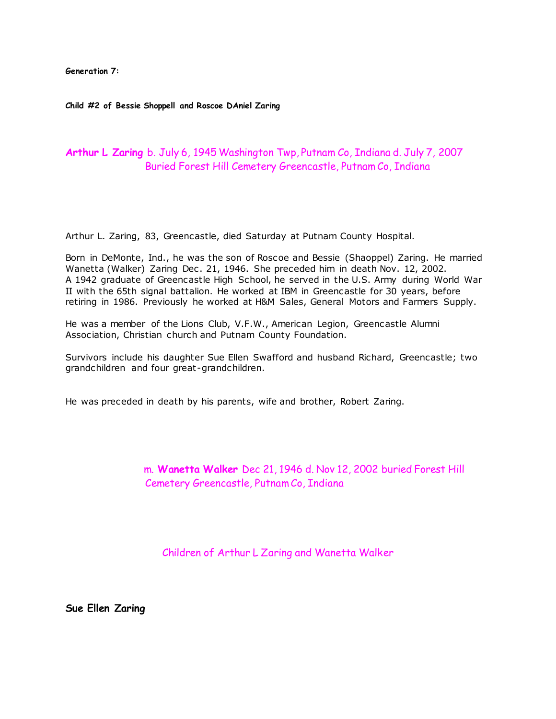**Generation 7:**

**Child #2 of Bessie Shoppell and Roscoe DAniel Zaring**

### **Arthur L Zaring** b. July 6, 1945 Washington Twp, Putnam Co, Indiana d. July 7, 2007 Buried Forest Hill Cemetery Greencastle, Putnam Co, Indiana

Arthur L. Zaring, 83, Greencastle, died Saturday at Putnam County Hospital.

Born in DeMonte, Ind., he was the son of Roscoe and Bessie (Shaoppel) Zaring. He married Wanetta (Walker) Zaring Dec. 21, 1946. She preceded him in death Nov. 12, 2002. A 1942 graduate of Greencastle High School, he served in the U.S. Army during World War II with the 65th signal battalion. He worked at IBM in Greencastle for 30 years, before retiring in 1986. Previously he worked at H&M Sales, General Motors and Farmers Supply.

He was a member of the Lions Club, V.F.W., American Legion, Greencastle Alumni Association, Christian church and Putnam County Foundation.

Survivors include his daughter Sue Ellen Swafford and husband Richard, Greencastle; two grandchildren and four great-grandchildren.

He was preceded in death by his parents, wife and brother, Robert Zaring.

 m. **Wanetta Walker** Dec 21, 1946 d. Nov 12, 2002 buried Forest Hill Cemetery Greencastle, Putnam Co, Indiana

Children of Arthur L Zaring and Wanetta Walker

**Sue Ellen Zaring**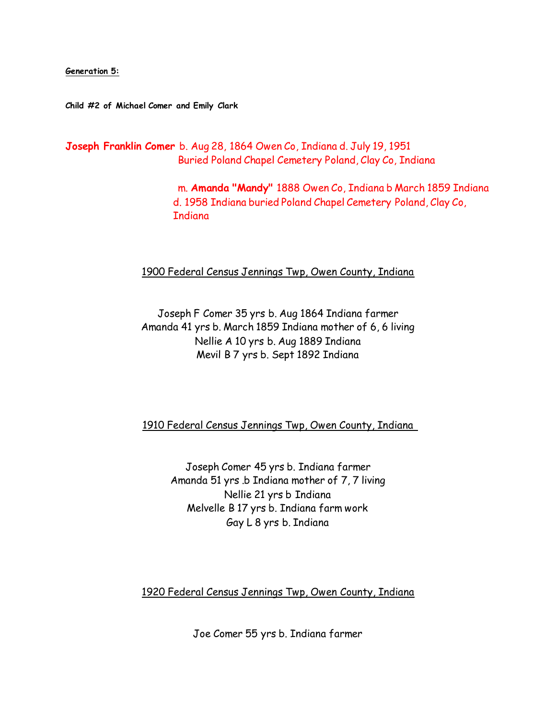**Generation 5:**

**Child #2 of Michael Comer and Emily Clark**

**Joseph Franklin Comer** b. Aug 28, 1864 Owen Co, Indiana d. July 19, 1951 Buried Poland Chapel Cemetery Poland, Clay Co, Indiana

> m. **Amanda "Mandy"** 1888 Owen Co, Indiana b March 1859 Indiana d. 1958 Indiana buried Poland Chapel Cemetery Poland, Clay Co, **Indiana**

#### 1900 Federal Census Jennings Twp, Owen County, Indiana

Joseph F Comer 35 yrs b. Aug 1864 Indiana farmer Amanda 41 yrs b. March 1859 Indiana mother of 6, 6 living Nellie A 10 yrs b. Aug 1889 Indiana Mevil B 7 yrs b. Sept 1892 Indiana

1910 Federal Census Jennings Twp, Owen County, Indiana

Joseph Comer 45 yrs b. Indiana farmer Amanda 51 yrs .b Indiana mother of 7, 7 living Nellie 21 yrs b Indiana Melvelle B 17 yrs b. Indiana farm work Gay L 8 yrs b. Indiana

1920 Federal Census Jennings Twp, Owen County, Indiana

Joe Comer 55 yrs b. Indiana farmer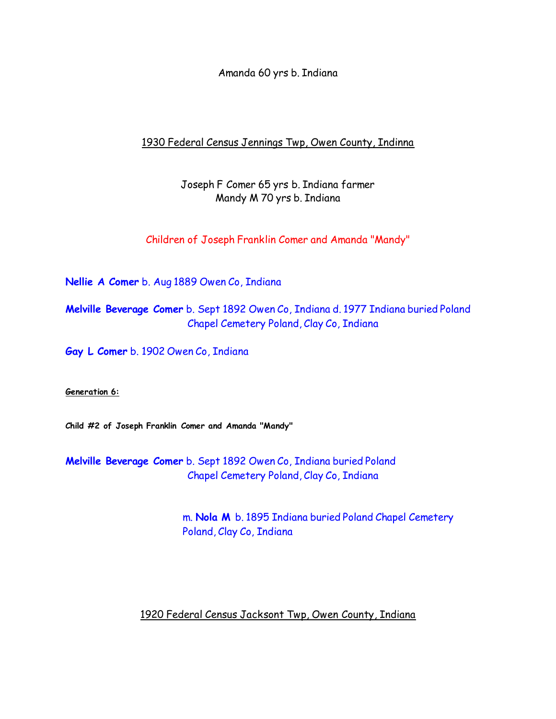Amanda 60 yrs b. Indiana

## 1930 Federal Census Jennings Twp, Owen County, Indinna

## Joseph F Comer 65 yrs b. Indiana farmer Mandy M 70 yrs b. Indiana

Children of Joseph Franklin Comer and Amanda "Mandy"

**Nellie A Comer** b. Aug 1889 Owen Co, Indiana

**Melville Beverage Comer** b. Sept 1892 Owen Co, Indiana d. 1977 Indiana buried Poland Chapel Cemetery Poland, Clay Co, Indiana

**Gay L Comer** b. 1902 Owen Co, Indiana

**Generation 6:**

**Child #2 of Joseph Franklin Comer and Amanda "Mandy"**

**Melville Beverage Comer** b. Sept 1892 Owen Co, Indiana buried Poland Chapel Cemetery Poland, Clay Co, Indiana

> m. **Nola M** b. 1895 Indiana buried Poland Chapel Cemetery Poland, Clay Co, Indiana

## 1920 Federal Census Jacksont Twp, Owen County, Indiana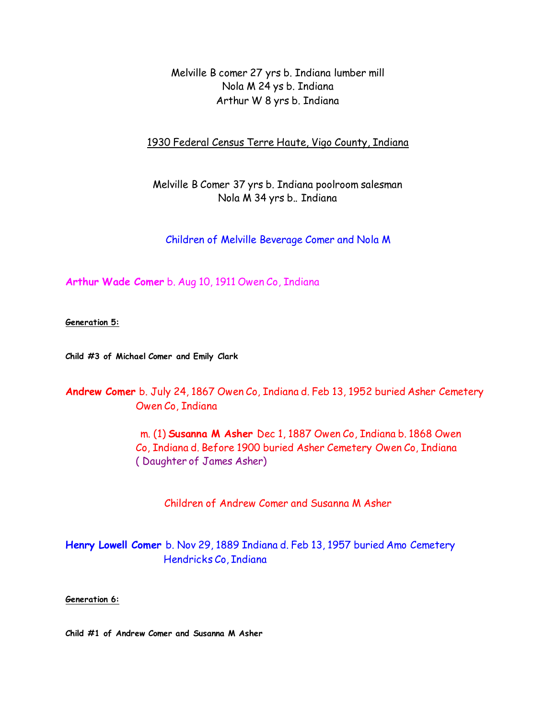Melville B comer 27 yrs b. Indiana lumber mill Nola M 24 ys b. Indiana Arthur W 8 yrs b. Indiana

1930 Federal Census Terre Haute, Vigo County, Indiana

Melville B Comer 37 yrs b. Indiana poolroom salesman Nola M 34 yrs b.. Indiana

Children of Melville Beverage Comer and Nola M

**Arthur Wade Comer** b. Aug 10, 1911 Owen Co, Indiana

**Generation 5:**

**Child #3 of Michael Comer and Emily Clark**

**Andrew Comer** b. July 24, 1867 Owen Co, Indiana d. Feb 13, 1952 buried Asher Cemetery Owen Co, Indiana

> m. (1) **Susanna M Asher** Dec 1, 1887 Owen Co, Indiana b. 1868 Owen Co, Indiana d. Before 1900 buried Asher Cemetery Owen Co, Indiana ( Daughter of James Asher)

Children of Andrew Comer and Susanna M Asher

**Henry Lowell Comer** b. Nov 29, 1889 Indiana d. Feb 13, 1957 buried Amo Cemetery Hendricks Co, Indiana

**Generation 6:**

**Child #1 of Andrew Comer and Susanna M Asher**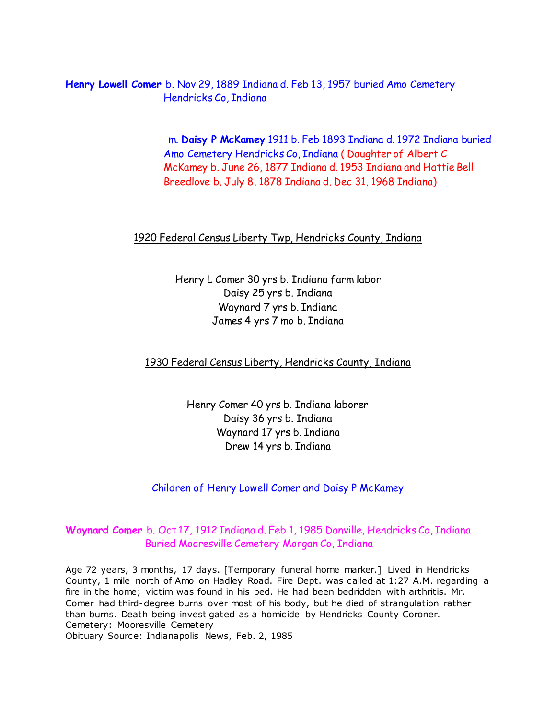**Henry Lowell Comer** b. Nov 29, 1889 Indiana d. Feb 13, 1957 buried Amo Cemetery Hendricks Co, Indiana

> m. **Daisy P McKamey** 1911 b. Feb 1893 Indiana d. 1972 Indiana buried Amo Cemetery Hendricks Co, Indiana ( Daughter of Albert C McKamey b. June 26, 1877 Indiana d. 1953 Indiana and Hattie Bell Breedlove b. July 8, 1878 Indiana d. Dec 31, 1968 Indiana)

### 1920 Federal Census Liberty Twp, Hendricks County, Indiana

Henry L Comer 30 yrs b. Indiana farm labor Daisy 25 yrs b. Indiana Waynard 7 yrs b. Indiana James 4 yrs 7 mo b. Indiana

1930 Federal Census Liberty, Hendricks County, Indiana

Henry Comer 40 yrs b. Indiana laborer Daisy 36 yrs b. Indiana Waynard 17 yrs b. Indiana Drew 14 yrs b. Indiana

Children of Henry Lowell Comer and Daisy P McKamey

## **Waynard Comer** b. Oct 17, 1912 Indiana d. Feb 1, 1985 Danville, Hendricks Co, Indiana Buried Mooresville Cemetery Morgan Co, Indiana

Age 72 years, 3 months, 17 days. [Temporary funeral home marker.] Lived in Hendricks County, 1 mile north of Amo on Hadley Road. Fire Dept. was called at 1:27 A.M. regarding a fire in the home; victim was found in his bed. He had been bedridden with arthritis. Mr. Comer had third-degree burns over most of his body, but he died of strangulation rather than burns. Death being investigated as a homicide by Hendricks County Coroner. Cemetery: Mooresville Cemetery

Obituary Source: Indianapolis News, Feb. 2, 1985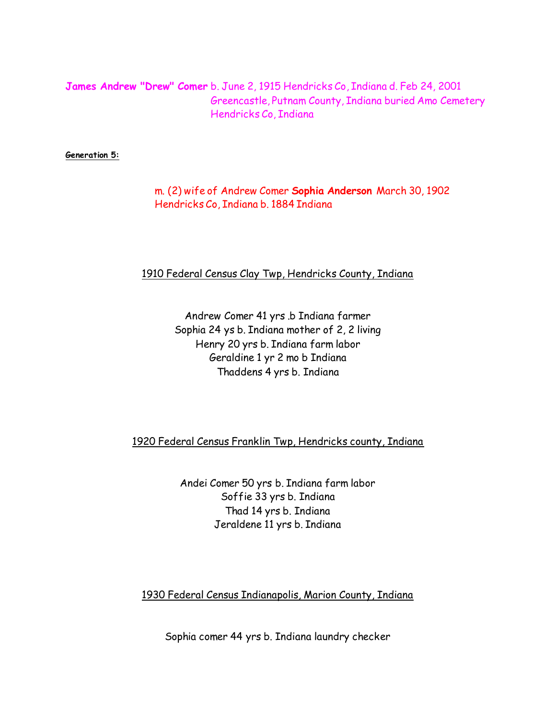**James Andrew "Drew" Comer** b. June 2, 1915 Hendricks Co, Indiana d. Feb 24, 2001 Greencastle, Putnam County, Indiana buried Amo Cemetery Hendricks Co, Indiana

**Generation 5:**

 m. (2) wife of Andrew Comer **Sophia Anderson** March 30, 1902 Hendricks Co, Indiana b. 1884 Indiana

#### 1910 Federal Census Clay Twp, Hendricks County, Indiana

Andrew Comer 41 yrs .b Indiana farmer Sophia 24 ys b. Indiana mother of 2, 2 living Henry 20 yrs b. Indiana farm labor Geraldine 1 yr 2 mo b Indiana Thaddens 4 yrs b. Indiana

1920 Federal Census Franklin Twp, Hendricks county, Indiana

Andei Comer 50 yrs b. Indiana farm labor Soffie 33 yrs b. Indiana Thad 14 yrs b. Indiana Jeraldene 11 yrs b. Indiana

1930 Federal Census Indianapolis, Marion County, Indiana

Sophia comer 44 yrs b. Indiana laundry checker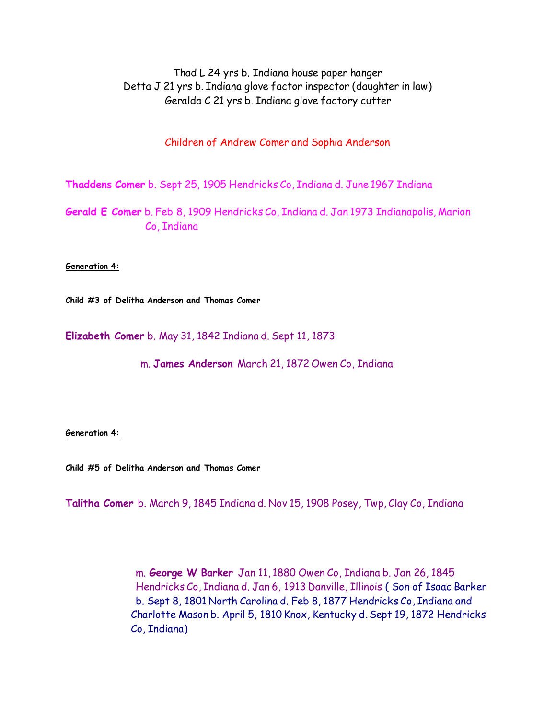Thad L 24 yrs b. Indiana house paper hanger Detta J 21 yrs b. Indiana glove factor inspector (daughter in law) Geralda C 21 yrs b. Indiana glove factory cutter

Children of Andrew Comer and Sophia Anderson

**Thaddens Comer** b. Sept 25, 1905 Hendricks Co, Indiana d. June 1967 Indiana

**Gerald E Comer** b. Feb 8, 1909 Hendricks Co, Indiana d. Jan 1973 Indianapolis, Marion Co, Indiana

**Generation 4:**

**Child #3 of Delitha Anderson and Thomas Comer**

**Elizabeth Comer** b. May 31, 1842 Indiana d. Sept 11, 1873

m. **James Anderson** March 21, 1872 Owen Co, Indiana

**Generation 4:**

**Child #5 of Delitha Anderson and Thomas Comer**

**Talitha Comer** b. March 9, 1845 Indiana d. Nov 15, 1908 Posey, Twp, Clay Co, Indiana

 m. **George W Barker** Jan 11, 1880 Owen Co, Indiana b. Jan 26, 1845 Hendricks Co, Indiana d. Jan 6, 1913 Danville, Illinois ( Son of Isaac Barker b. Sept 8, 1801 North Carolina d. Feb 8, 1877 Hendricks Co, Indiana and Charlotte Mason b. April 5, 1810 Knox, Kentucky d. Sept 19, 1872 Hendricks Co, Indiana)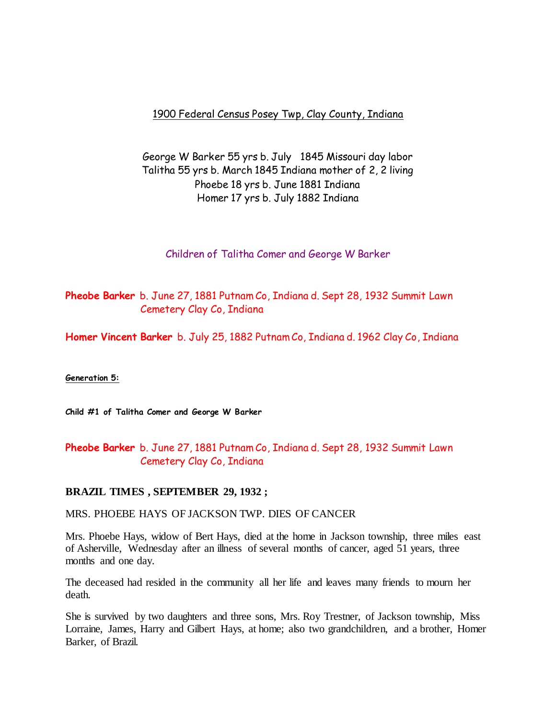## 1900 Federal Census Posey Twp, Clay County, Indiana

# George W Barker 55 yrs b. July 1845 Missouri day labor Talitha 55 yrs b. March 1845 Indiana mother of 2, 2 living Phoebe 18 yrs b. June 1881 Indiana Homer 17 yrs b. July 1882 Indiana

### Children of Talitha Comer and George W Barker

**Pheobe Barker** b. June 27, 1881 Putnam Co, Indiana d. Sept 28, 1932 Summit Lawn Cemetery Clay Co, Indiana

**Homer Vincent Barker** b. July 25, 1882 Putnam Co, Indiana d. 1962 Clay Co, Indiana

**Generation 5:**

**Child #1 of Talitha Comer and George W Barker**

## **Pheobe Barker** b. June 27, 1881 Putnam Co, Indiana d. Sept 28, 1932 Summit Lawn Cemetery Clay Co, Indiana

### **BRAZIL TIMES , SEPTEMBER 29, 1932 ;**

### MRS. PHOEBE HAYS OF JACKSON TWP. DIES OF CANCER

Mrs. Phoebe Hays, widow of Bert Hays, died at the home in Jackson township, three miles east of Asherville, Wednesday after an illness of several months of cancer, aged 51 years, three months and one day.

The deceased had resided in the community all her life and leaves many friends to mourn her death.

She is survived by two daughters and three sons, Mrs. Roy Trestner, of Jackson township, Miss Lorraine, James, Harry and Gilbert Hays, at home; also two grandchildren, and a brother, Homer Barker, of Brazil.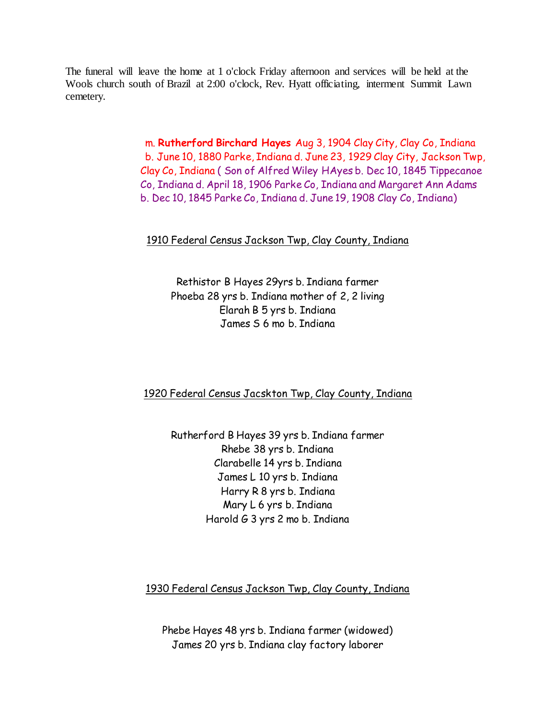The funeral will leave the home at 1 o'clock Friday afternoon and services will be held at the Wools church south of Brazil at 2:00 o'clock, Rev. Hyatt officiating, interment Summit Lawn cemetery.

> m. **Rutherford Birchard Hayes** Aug 3, 1904 Clay City, Clay Co, Indiana b. June 10, 1880 Parke, Indiana d. June 23, 1929 Clay City, Jackson Twp, Clay Co, Indiana ( Son of Alfred Wiley HAyes b. Dec 10, 1845 Tippecanoe Co, Indiana d. April 18, 1906 Parke Co, Indiana and Margaret Ann Adams b. Dec 10, 1845 Parke Co, Indiana d. June 19, 1908 Clay Co, Indiana)

## 1910 Federal Census Jackson Twp, Clay County, Indiana

Rethistor B Hayes 29yrs b. Indiana farmer Phoeba 28 yrs b. Indiana mother of 2, 2 living Elarah B 5 yrs b. Indiana James S 6 mo b. Indiana

## 1920 Federal Census Jacskton Twp, Clay County, Indiana

Rutherford B Hayes 39 yrs b. Indiana farmer Rhebe 38 yrs b. Indiana Clarabelle 14 yrs b. Indiana James L 10 yrs b. Indiana Harry R 8 yrs b. Indiana Mary L 6 yrs b. Indiana Harold G 3 yrs 2 mo b. Indiana

### 1930 Federal Census Jackson Twp, Clay County, Indiana

Phebe Hayes 48 yrs b. Indiana farmer (widowed) James 20 yrs b. Indiana clay factory laborer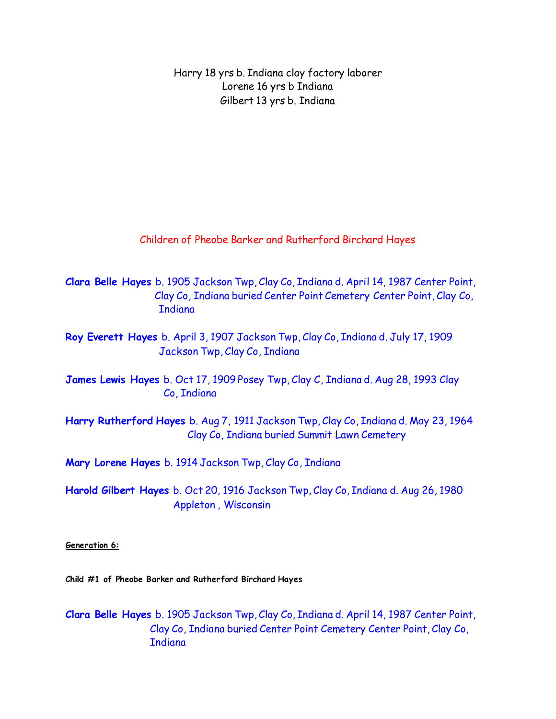Harry 18 yrs b. Indiana clay factory laborer Lorene 16 yrs b Indiana Gilbert 13 yrs b. Indiana

Children of Pheobe Barker and Rutherford Birchard Hayes

**Clara Belle Hayes** b. 1905 Jackson Twp, Clay Co, Indiana d. April 14, 1987 Center Point, Clay Co, Indiana buried Center Point Cemetery Center Point, Clay Co, **Indiana** 

**Roy Everett Hayes** b. April 3, 1907 Jackson Twp, Clay Co, Indiana d. July 17, 1909 Jackson Twp, Clay Co, Indiana

**James Lewis Hayes** b. Oct 17, 1909 Posey Twp, Clay C, Indiana d. Aug 28, 1993 Clay Co, Indiana

**Harry Rutherford Hayes** b. Aug 7, 1911 Jackson Twp, Clay Co, Indiana d. May 23, 1964 Clay Co, Indiana buried Summit Lawn Cemetery

**Mary Lorene Hayes** b. 1914 Jackson Twp, Clay Co, Indiana

**Harold Gilbert Hayes** b. Oct 20, 1916 Jackson Twp, Clay Co, Indiana d. Aug 26, 1980 Appleton , Wisconsin

**Generation 6:**

**Child #1 of Pheobe Barker and Rutherford Birchard Hayes**

**Clara Belle Hayes** b. 1905 Jackson Twp, Clay Co, Indiana d. April 14, 1987 Center Point, Clay Co, Indiana buried Center Point Cemetery Center Point, Clay Co, **Indiana**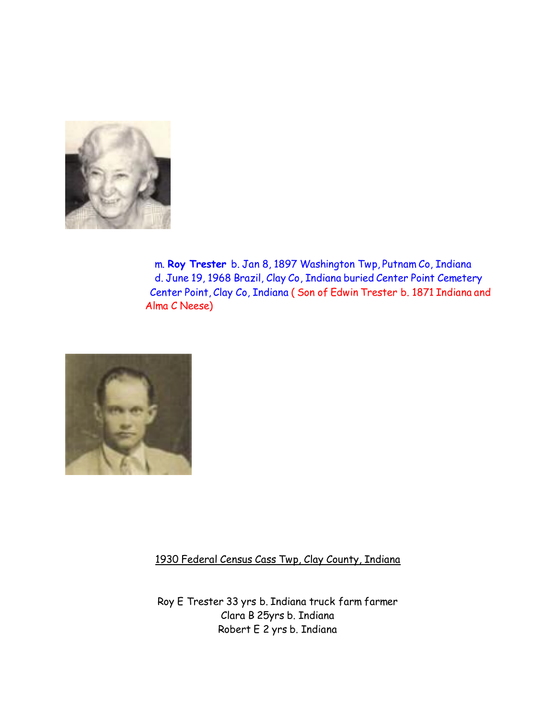

 m. **Roy Trester** b. Jan 8, 1897 Washington Twp, Putnam Co, Indiana d. June 19, 1968 Brazil, Clay Co, Indiana buried Center Point Cemetery Center Point, Clay Co, Indiana ( Son of Edwin Trester b. 1871 Indiana and Alma C Neese)



1930 Federal Census Cass Twp, Clay County, Indiana

Roy E Trester 33 yrs b. Indiana truck farm farmer Clara B 25yrs b. Indiana Robert E 2 yrs b. Indiana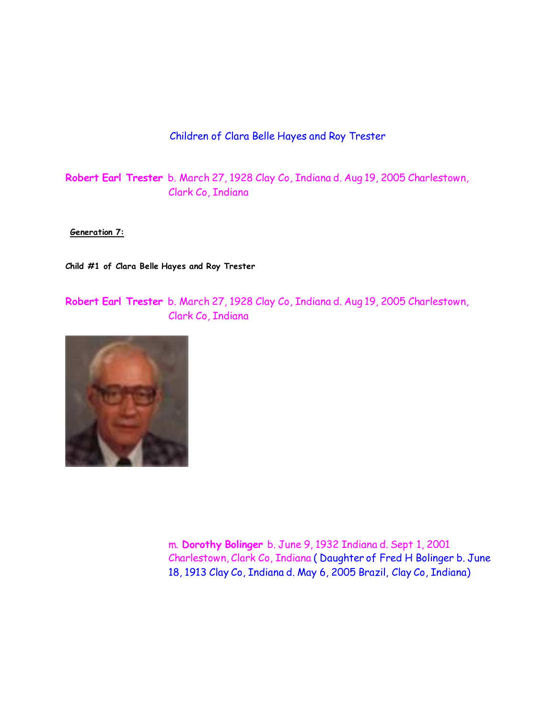## Children of Clara Belle Hayes and Roy Trester

**Robert Earl Trester** b. March 27, 1928 Clay Co, Indiana d. Aug 19, 2005 Charlestown, Clark Co, Indiana

**Generation 7:**

**Child #1 of Clara Belle Hayes and Roy Trester**

**Robert Earl Trester** b. March 27, 1928 Clay Co, Indiana d. Aug 19, 2005 Charlestown, Clark Co, Indiana



 m. **Dorothy Bolinger** b. June 9, 1932 Indiana d. Sept 1, 2001 Charlestown, Clark Co, Indiana ( Daughter of Fred H Bolinger b. June 18, 1913 Clay Co, Indiana d. May 6, 2005 Brazil, Clay Co, Indiana)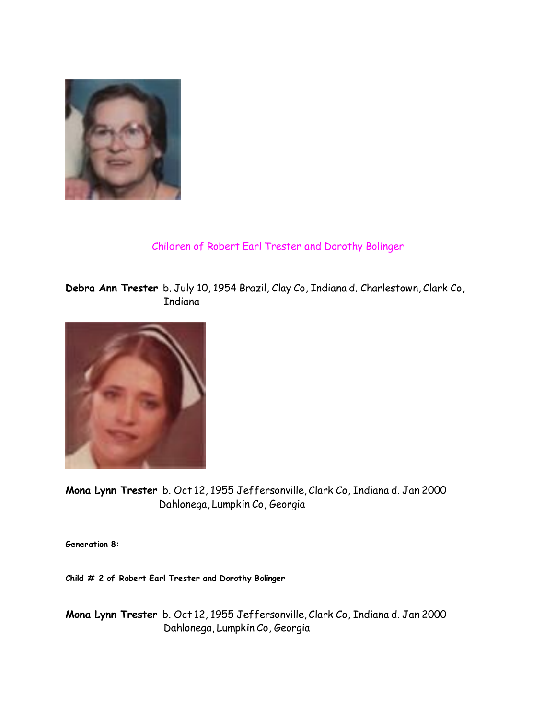

# Children of Robert Earl Trester and Dorothy Bolinger

**Debra Ann Trester** b. July 10, 1954 Brazil, Clay Co, Indiana d. Charlestown, Clark Co, Indiana



**Mona Lynn Trester** b. Oct 12, 1955 Jeffersonville, Clark Co, Indiana d. Jan 2000 Dahlonega, Lumpkin Co, Georgia

**Generation 8:**

**Child # 2 of Robert Earl Trester and Dorothy Bolinger**

**Mona Lynn Trester** b. Oct 12, 1955 Jeffersonville, Clark Co, Indiana d. Jan 2000 Dahlonega, Lumpkin Co, Georgia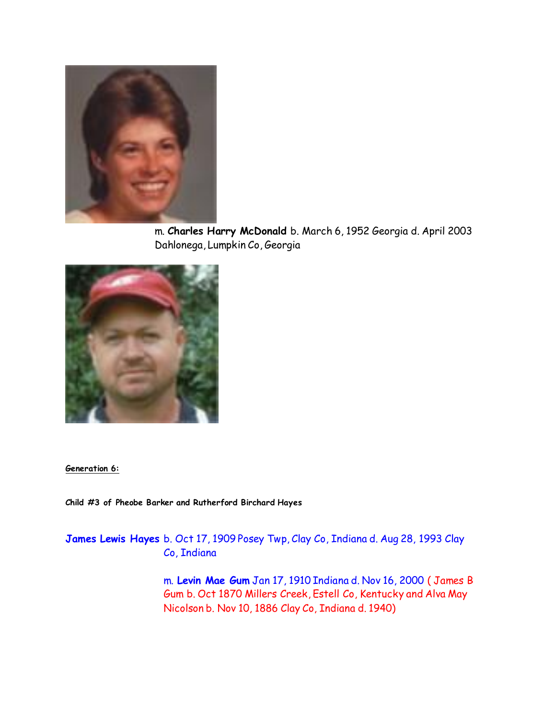

 m. **Charles Harry McDonald** b. March 6, 1952 Georgia d. April 2003 Dahlonega, Lumpkin Co, Georgia



**Generation 6:**

**Child #3 of Pheobe Barker and Rutherford Birchard Hayes**

**James Lewis Hayes** b. Oct 17, 1909 Posey Twp, Clay Co, Indiana d. Aug 28, 1993 Clay Co, Indiana

> m. **Levin Mae Gum** Jan 17, 1910 Indiana d. Nov 16, 2000 ( James B Gum b. Oct 1870 Millers Creek, Estell Co, Kentucky and Alva May Nicolson b. Nov 10, 1886 Clay Co, Indiana d. 1940)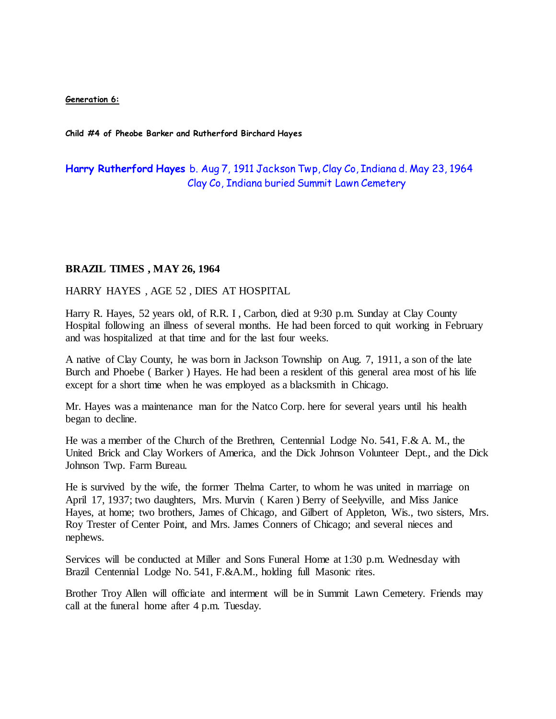**Generation 6:**

**Child #4 of Pheobe Barker and Rutherford Birchard Hayes**

## **Harry Rutherford Hayes** b. Aug 7, 1911 Jackson Twp, Clay Co, Indiana d. May 23, 1964 Clay Co, Indiana buried Summit Lawn Cemetery

#### **BRAZIL TIMES , MAY 26, 1964**

HARRY HAYES , AGE 52 , DIES AT HOSPITAL

Harry R. Hayes, 52 years old, of R.R. I , Carbon, died at 9:30 p.m. Sunday at Clay County Hospital following an illness of several months. He had been forced to quit working in February and was hospitalized at that time and for the last four weeks.

A native of Clay County, he was born in Jackson Township on Aug. 7, 1911, a son of the late Burch and Phoebe ( Barker ) Hayes. He had been a resident of this general area most of his life except for a short time when he was employed as a blacksmith in Chicago.

Mr. Hayes was a maintenance man for the Natco Corp. here for several years until his health began to decline.

He was a member of the Church of the Brethren, Centennial Lodge No. 541, F.& A. M., the United Brick and Clay Workers of America, and the Dick Johnson Volunteer Dept., and the Dick Johnson Twp. Farm Bureau.

He is survived by the wife, the former Thelma Carter, to whom he was united in marriage on April 17, 1937; two daughters, Mrs. Murvin ( Karen ) Berry of Seelyville, and Miss Janice Hayes, at home; two brothers, James of Chicago, and Gilbert of Appleton, Wis., two sisters, Mrs. Roy Trester of Center Point, and Mrs. James Conners of Chicago; and several nieces and nephews.

Services will be conducted at Miller and Sons Funeral Home at 1:30 p.m. Wednesday with Brazil Centennial Lodge No. 541, F.&A.M., holding full Masonic rites.

Brother Troy Allen will officiate and interment will be in Summit Lawn Cemetery. Friends may call at the funeral home after 4 p.m. Tuesday.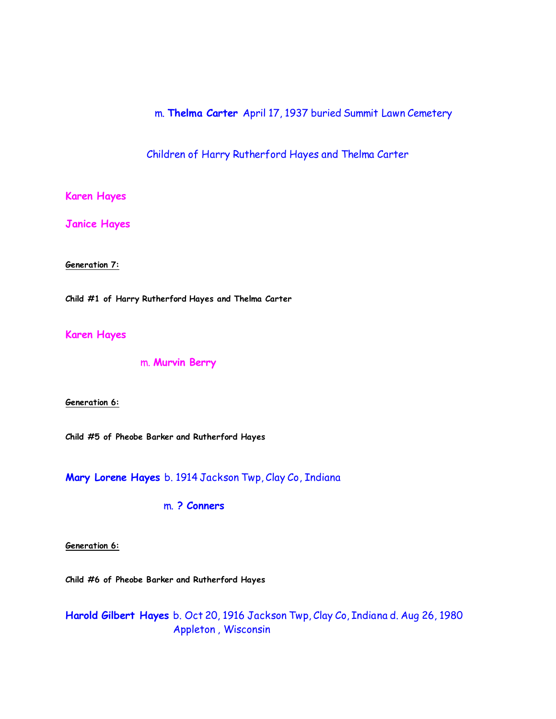m. **Thelma Carter** April 17, 1937 buried Summit Lawn Cemetery

Children of Harry Rutherford Hayes and Thelma Carter

**Karen Hayes**

**Janice Hayes**

**Generation 7:**

**Child #1 of Harry Rutherford Hayes and Thelma Carter**

**Karen Hayes**

m. **Murvin Berry**

**Generation 6:**

**Child #5 of Pheobe Barker and Rutherford Hayes**

**Mary Lorene Hayes** b. 1914 Jackson Twp, Clay Co, Indiana

m. **? Conners** 

**Generation 6:**

**Child #6 of Pheobe Barker and Rutherford Hayes**

**Harold Gilbert Hayes** b. Oct 20, 1916 Jackson Twp, Clay Co, Indiana d. Aug 26, 1980 Appleton , Wisconsin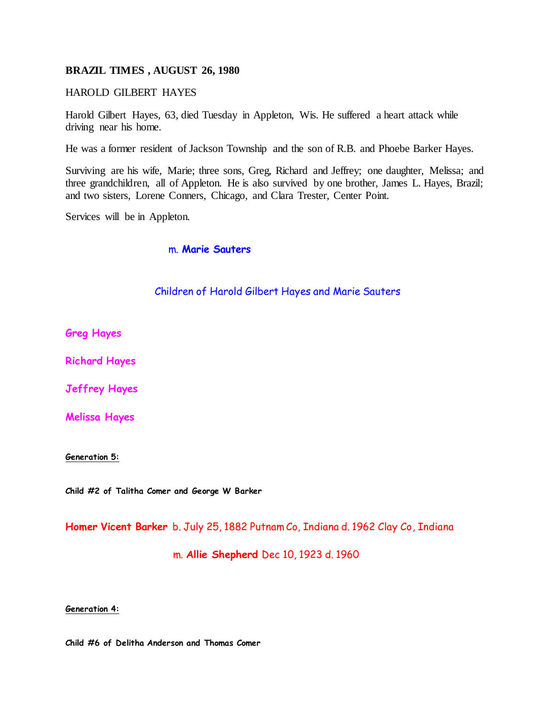#### **BRAZIL TIMES , AUGUST 26, 1980**

#### HAROLD GILBERT HAYES

Harold Gilbert Hayes, 63, died Tuesday in Appleton, Wis. He suffered a heart attack while driving near his home.

He was a former resident of Jackson Township and the son of R.B. and Phoebe Barker Hayes.

Surviving are his wife, Marie; three sons, Greg, Richard and Jeffrey; one daughter, Melissa; and three grandchildren, all of Appleton. He is also survived by one brother, James L. Hayes, Brazil; and two sisters, Lorene Conners, Chicago, and Clara Trester, Center Point.

Services will be in Appleton.

m. **Marie Sauters**

#### Children of Harold Gilbert Hayes and Marie Sauters

**Greg Hayes**

**Richard Hayes**

**Jeffrey Hayes**

**Melissa Hayes**

**Generation 5:**

**Child #2 of Talitha Comer and George W Barker**

**Homer Vicent Barker** b. July 25, 1882 Putnam Co, Indiana d. 1962 Clay Co, Indiana

m. **Allie Shepherd** Dec 10, 1923 d. 1960

**Generation 4:**

**Child #6 of Delitha Anderson and Thomas Comer**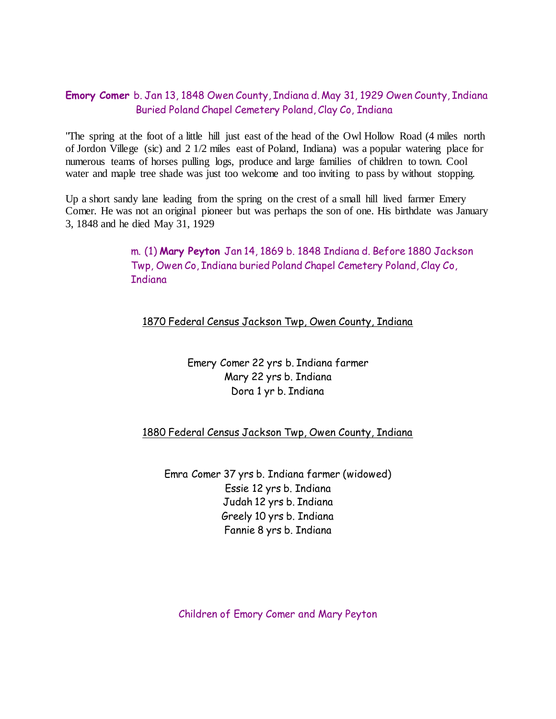## **Emory Comer** b. Jan 13, 1848 Owen County, Indiana d. May 31, 1929 Owen County, Indiana Buried Poland Chapel Cemetery Poland, Clay Co, Indiana

"The spring at the foot of a little hill just east of the head of the Owl Hollow Road (4 miles north of Jordon Villege (sic) and 2 1/2 miles east of Poland, Indiana) was a popular watering place for numerous teams of horses pulling logs, produce and large families of children to town. Cool water and maple tree shade was just too welcome and too inviting to pass by without stopping.

Up a short sandy lane leading from the spring on the crest of a small hill lived farmer Emery Comer. He was not an original pioneer but was perhaps the son of one. His birthdate was January 3, 1848 and he died May 31, 1929

> m. (1) **Mary Peyton** Jan 14, 1869 b. 1848 Indiana d. Before 1880 Jackson Twp, Owen Co, Indiana buried Poland Chapel Cemetery Poland, Clay Co, **T**ndiana

1870 Federal Census Jackson Twp, Owen County, Indiana

Emery Comer 22 yrs b. Indiana farmer Mary 22 yrs b. Indiana Dora 1 yr b. Indiana

1880 Federal Census Jackson Twp, Owen County, Indiana

Emra Comer 37 yrs b. Indiana farmer (widowed) Essie 12 yrs b. Indiana Judah 12 yrs b. Indiana Greely 10 yrs b. Indiana Fannie 8 yrs b. Indiana

Children of Emory Comer and Mary Peyton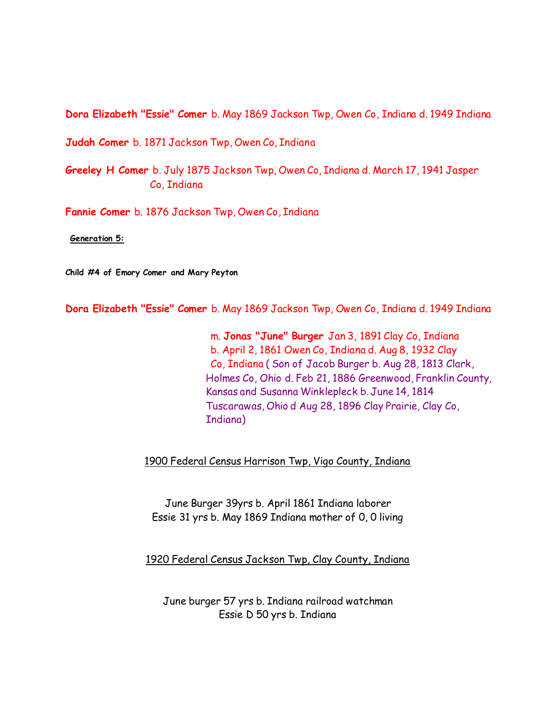**Dora Elizabeth "Essie" Comer** b. May 1869 Jackson Twp, Owen Co, Indiana d. 1949 Indiana

**Judah Comer** b. 1871 Jackson Twp, Owen Co, Indiana

**Greeley H Comer** b. July 1875 Jackson Twp, Owen Co, Indiana d. March 17, 1941 Jasper Co, Indiana

**Fannie Comer** b. 1876 Jackson Twp, Owen Co, Indiana

**Generation 5:**

**Child #4 of Emory Comer and Mary Peyton**

**Dora Elizabeth "Essie" Comer** b. May 1869 Jackson Twp, Owen Co, Indiana d. 1949 Indiana

 m. **Jonas "June" Burger** Jan 3, 1891 Clay Co, Indiana b. April 2, 1861 Owen Co, Indiana d. Aug 8, 1932 Clay Co, Indiana ( Son of Jacob Burger b. Aug 28, 1813 Clark, Holmes Co, Ohio d. Feb 21, 1886 Greenwood, Franklin County, Kansas and Susanna Winklepleck b. June 14, 1814 Tuscarawas, Ohio d Aug 28, 1896 Clay Prairie, Clay Co, Indiana)

1900 Federal Census Harrison Twp, Vigo County, Indiana

June Burger 39yrs b. April 1861 Indiana laborer Essie 31 yrs b. May 1869 Indiana mother of 0, 0 living

1920 Federal Census Jackson Twp, Clay County, Indiana

June burger 57 yrs b. Indiana railroad watchman Essie D 50 yrs b. Indiana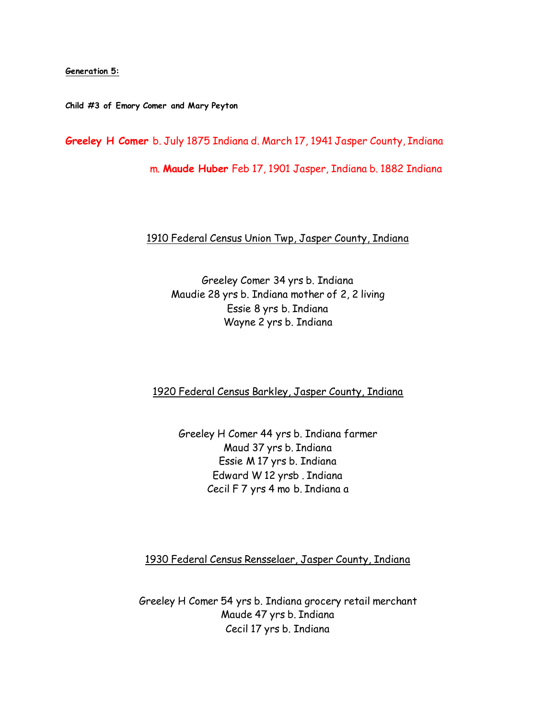#### **Generation 5:**

**Child #3 of Emory Comer and Mary Peyton**

**Greeley H Comer** b. July 1875 Indiana d. March 17, 1941 Jasper County, Indiana

m. **Maude Huber** Feb 17, 1901 Jasper, Indiana b. 1882 Indiana

### 1910 Federal Census Union Twp, Jasper County, Indiana

Greeley Comer 34 yrs b. Indiana Maudie 28 yrs b. Indiana mother of 2, 2 living Essie 8 yrs b. Indiana Wayne 2 yrs b. Indiana

1920 Federal Census Barkley, Jasper County, Indiana

Greeley H Comer 44 yrs b. Indiana farmer Maud 37 yrs b. Indiana Essie M 17 yrs b. Indiana Edward W 12 yrsb . Indiana Cecil F 7 yrs 4 mo b. Indiana a

1930 Federal Census Rensselaer, Jasper County, Indiana

Greeley H Comer 54 yrs b. Indiana grocery retail merchant Maude 47 yrs b. Indiana Cecil 17 yrs b. Indiana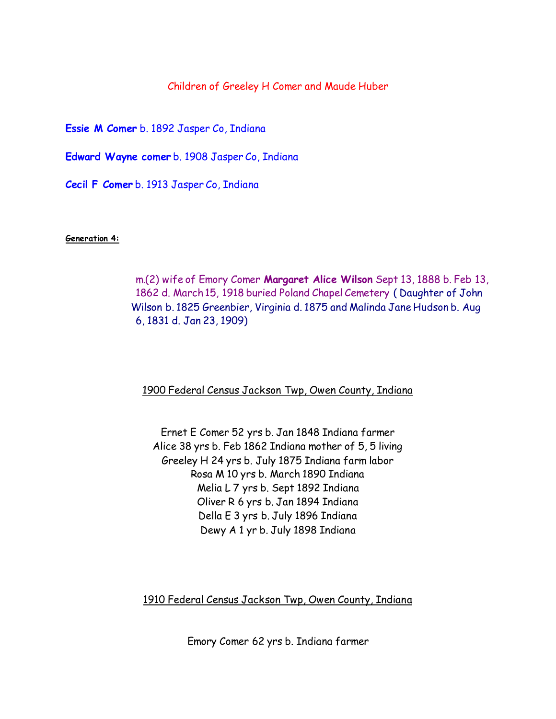### Children of Greeley H Comer and Maude Huber

**Essie M Comer** b. 1892 Jasper Co, Indiana

**Edward Wayne comer** b. 1908 Jasper Co, Indiana

**Cecil F Comer** b. 1913 Jasper Co, Indiana

**Generation 4:**

 m.(2) wife of Emory Comer **Margaret Alice Wilson** Sept 13, 1888 b. Feb 13, 1862 d. March 15, 1918 buried Poland Chapel Cemetery ( Daughter of John Wilson b. 1825 Greenbier, Virginia d. 1875 and Malinda Jane Hudson b. Aug 6, 1831 d. Jan 23, 1909)

1900 Federal Census Jackson Twp, Owen County, Indiana

Ernet E Comer 52 yrs b. Jan 1848 Indiana farmer Alice 38 yrs b. Feb 1862 Indiana mother of 5, 5 living Greeley H 24 yrs b. July 1875 Indiana farm labor Rosa M 10 yrs b. March 1890 Indiana Melia L 7 yrs b. Sept 1892 Indiana Oliver R 6 yrs b. Jan 1894 Indiana Della E 3 yrs b. July 1896 Indiana Dewy A 1 yr b. July 1898 Indiana

1910 Federal Census Jackson Twp, Owen County, Indiana

Emory Comer 62 yrs b. Indiana farmer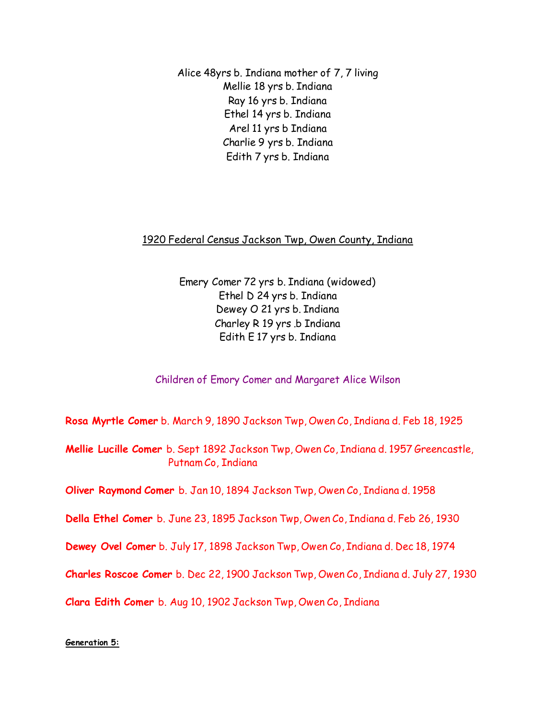Alice 48yrs b. Indiana mother of 7, 7 living Mellie 18 yrs b. Indiana Ray 16 yrs b. Indiana Ethel 14 yrs b. Indiana Arel 11 yrs b Indiana Charlie 9 yrs b. Indiana Edith 7 yrs b. Indiana

## 1920 Federal Census Jackson Twp, Owen County, Indiana

Emery Comer 72 yrs b. Indiana (widowed) Ethel D 24 yrs b. Indiana Dewey O 21 yrs b. Indiana Charley R 19 yrs .b Indiana Edith E 17 yrs b. Indiana

## Children of Emory Comer and Margaret Alice Wilson

**Rosa Myrtle Comer** b. March 9, 1890 Jackson Twp, Owen Co, Indiana d. Feb 18, 1925

**Mellie Lucille Comer** b. Sept 1892 Jackson Twp, Owen Co, Indiana d. 1957 Greencastle, Putnam Co, Indiana

**Oliver Raymond Comer** b. Jan 10, 1894 Jackson Twp, Owen Co, Indiana d. 1958

**Della Ethel Comer** b. June 23, 1895 Jackson Twp, Owen Co, Indiana d. Feb 26, 1930

**Dewey Ovel Comer** b. July 17, 1898 Jackson Twp, Owen Co, Indiana d. Dec 18, 1974

**Charles Roscoe Comer** b. Dec 22, 1900 Jackson Twp, Owen Co, Indiana d. July 27, 1930

**Clara Edith Comer** b. Aug 10, 1902 Jackson Twp, Owen Co, Indiana

### **Generation 5:**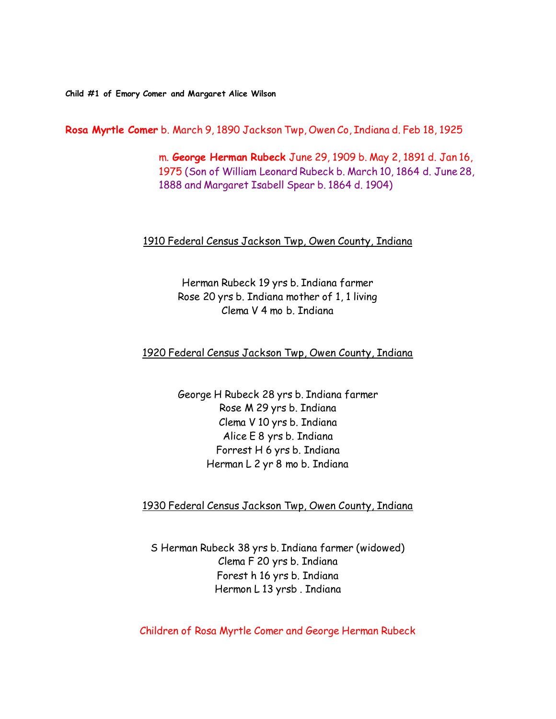**Child #1 of Emory Comer and Margaret Alice Wilson**

**Rosa Myrtle Comer** b. March 9, 1890 Jackson Twp, Owen Co, Indiana d. Feb 18, 1925

 m. **George Herman Rubeck** June 29, 1909 b. May 2, 1891 d. Jan 16, 1975 (Son of William Leonard Rubeck b. March 10, 1864 d. June 28, 1888 and Margaret Isabell Spear b. 1864 d. 1904)

#### 1910 Federal Census Jackson Twp, Owen County, Indiana

Herman Rubeck 19 yrs b. Indiana farmer Rose 20 yrs b. Indiana mother of 1, 1 living Clema V 4 mo b. Indiana

#### 1920 Federal Census Jackson Twp, Owen County, Indiana

George H Rubeck 28 yrs b. Indiana farmer Rose M 29 yrs b. Indiana Clema V 10 yrs b. Indiana Alice E 8 yrs b. Indiana Forrest H 6 yrs b. Indiana Herman L 2 yr 8 mo b. Indiana

### 1930 Federal Census Jackson Twp, Owen County, Indiana

S Herman Rubeck 38 yrs b. Indiana farmer (widowed) Clema F 20 yrs b. Indiana Forest h 16 yrs b. Indiana Hermon L 13 yrsb . Indiana

Children of Rosa Myrtle Comer and George Herman Rubeck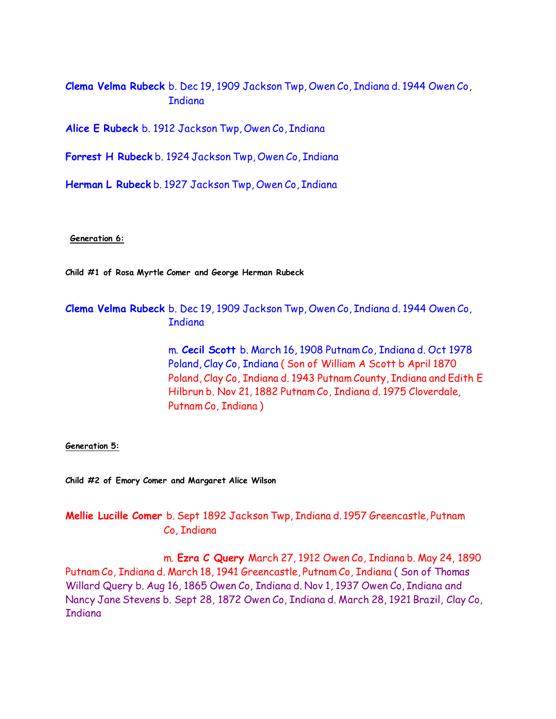**Clema Velma Rubeck** b. Dec 19, 1909 Jackson Twp, Owen Co, Indiana d. 1944 Owen Co, **Indiana** 

**Alice E Rubeck** b. 1912 Jackson Twp, Owen Co, Indiana

**Forrest H Rubeck** b. 1924 Jackson Twp, Owen Co, Indiana

**Herman L Rubeck** b. 1927 Jackson Twp, Owen Co, Indiana

**Generation 6:**

**Child #1 of Rosa Myrtle Comer and George Herman Rubeck**

## **Clema Velma Rubeck** b. Dec 19, 1909 Jackson Twp, Owen Co, Indiana d. 1944 Owen Co, **T**ndiana

 m. **Cecil Scott** b. March 16, 1908 Putnam Co, Indiana d. Oct 1978 Poland, Clay Co, Indiana ( Son of William A Scott b April 1870 Poland, Clay Co, Indiana d. 1943 Putnam County, Indiana and Edith E Hilbrun b. Nov 21, 1882 Putnam Co, Indiana d. 1975 Cloverdale, Putnam Co, Indiana )

**Generation 5:**

**Child #2 of Emory Comer and Margaret Alice Wilson**

## **Mellie Lucille Comer** b. Sept 1892 Jackson Twp, Indiana d. 1957 Greencastle, Putnam Co, Indiana

 m. **Ezra C Query** March 27, 1912 Owen Co, Indiana b. May 24, 1890 Putnam Co, Indiana d. March 18, 1941 Greencastle, Putnam Co, Indiana ( Son of Thomas Willard Query b. Aug 16, 1865 Owen Co, Indiana d. Nov 1, 1937 Owen Co, Indiana and Nancy Jane Stevens b. Sept 28, 1872 Owen Co, Indiana d. March 28, 1921 Brazil, Clay Co, **Indiana**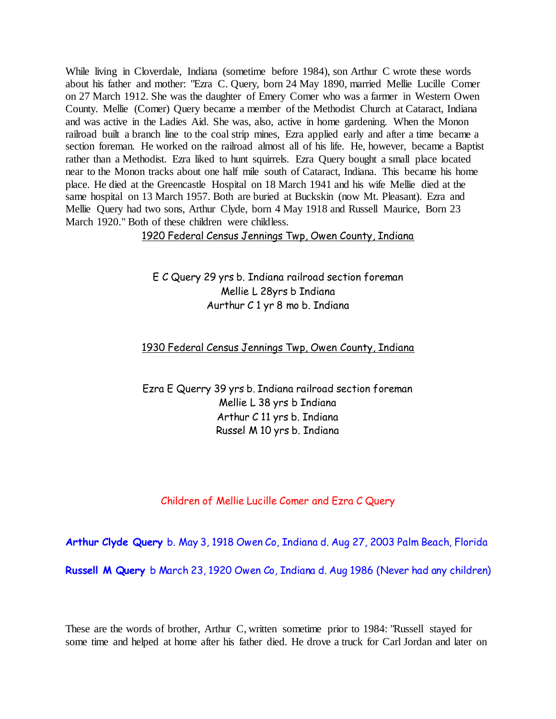While living in Cloverdale, Indiana (sometime before 1984), son Arthur C wrote these words about his father and mother: "Ezra C. Query, born 24 May 1890, married Mellie Lucille Comer on 27 March 1912. She was the daughter of Emery Comer who was a farmer in Western Owen County. Mellie (Comer) Query became a member of the Methodist Church at Cataract, Indiana and was active in the Ladies Aid. She was, also, active in home gardening. When the Monon railroad built a branch line to the coal strip mines, Ezra applied early and after a time became a section foreman. He worked on the railroad almost all of his life. He, however, became a Baptist rather than a Methodist. Ezra liked to hunt squirrels. Ezra Query bought a small place located near to the Monon tracks about one half mile south of Cataract, Indiana. This became his home place. He died at the Greencastle Hospital on 18 March 1941 and his wife Mellie died at the same hospital on 13 March 1957. Both are buried at Buckskin (now Mt. Pleasant). Ezra and Mellie Query had two sons, Arthur Clyde, born 4 May 1918 and Russell Maurice, Born 23 March 1920." Both of these children were childless.

1920 Federal Census Jennings Twp, Owen County, Indiana

E C Query 29 yrs b. Indiana railroad section foreman Mellie L 28yrs b Indiana Aurthur C 1 yr 8 mo b. Indiana

#### 1930 Federal Census Jennings Twp, Owen County, Indiana

Ezra E Querry 39 yrs b. Indiana railroad section foreman Mellie L 38 yrs b Indiana Arthur C 11 yrs b. Indiana Russel M 10 yrs b. Indiana

#### Children of Mellie Lucille Comer and Ezra C Query

**Arthur Clyde Query** b. May 3, 1918 Owen Co, Indiana d. Aug 27, 2003 Palm Beach, Florida

**Russell M Query** b March 23, 1920 Owen Co, Indiana d. Aug 1986 (Never had any children)

These are the words of brother, Arthur C, written sometime prior to 1984: "Russell stayed for some time and helped at home after his father died. He drove a truck for Carl Jordan and later on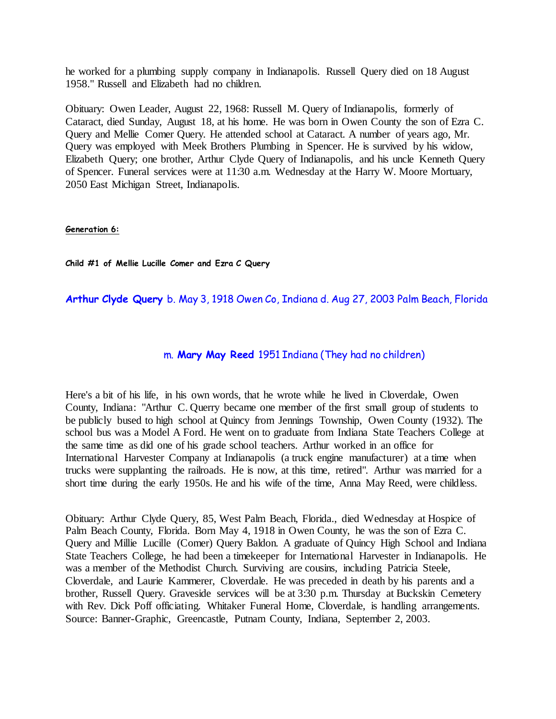he worked for a plumbing supply company in Indianapolis. Russell Query died on 18 August 1958." Russell and Elizabeth had no children.

Obituary: Owen Leader, August 22, 1968: Russell M. Query of Indianapolis, formerly of Cataract, died Sunday, August 18, at his home. He was born in Owen County the son of Ezra C. Query and Mellie Comer Query. He attended school at Cataract. A number of years ago, Mr. Query was employed with Meek Brothers Plumbing in Spencer. He is survived by his widow, Elizabeth Query; one brother, Arthur Clyde Query of Indianapolis, and his uncle Kenneth Query of Spencer. Funeral services were at 11:30 a.m. Wednesday at the Harry W. Moore Mortuary, 2050 East Michigan Street, Indianapolis.

#### **Generation 6:**

**Child #1 of Mellie Lucille Comer and Ezra C Query**

**Arthur Clyde Query** b. May 3, 1918 Owen Co, Indiana d. Aug 27, 2003 Palm Beach, Florida

### m. **Mary May Reed** 1951 Indiana (They had no children)

Here's a bit of his life, in his own words, that he wrote while he lived in Cloverdale, Owen County, Indiana: "Arthur C. Querry became one member of the first small group of students to be publicly bused to high school at Quincy from Jennings Township, Owen County (1932). The school bus was a Model A Ford. He went on to graduate from Indiana State Teachers College at the same time as did one of his grade school teachers. Arthur worked in an office for International Harvester Company at Indianapolis (a truck engine manufacturer) at a time when trucks were supplanting the railroads. He is now, at this time, retired". Arthur was married for a short time during the early 1950s. He and his wife of the time, Anna May Reed, were childless.

Obituary: Arthur Clyde Query, 85, West Palm Beach, Florida., died Wednesday at Hospice of Palm Beach County, Florida. Born May 4, 1918 in Owen County, he was the son of Ezra C. Query and Millie Lucille (Comer) Query Baldon. A graduate of Quincy High School and Indiana State Teachers College, he had been a timekeeper for International Harvester in Indianapolis. He was a member of the Methodist Church. Surviving are cousins, including Patricia Steele, Cloverdale, and Laurie Kammerer, Cloverdale. He was preceded in death by his parents and a brother, Russell Query. Graveside services will be at 3:30 p.m. Thursday at Buckskin Cemetery with Rev. Dick Poff officiating. Whitaker Funeral Home, Cloverdale, is handling arrangements. Source: Banner-Graphic, Greencastle, Putnam County, Indiana, September 2, 2003.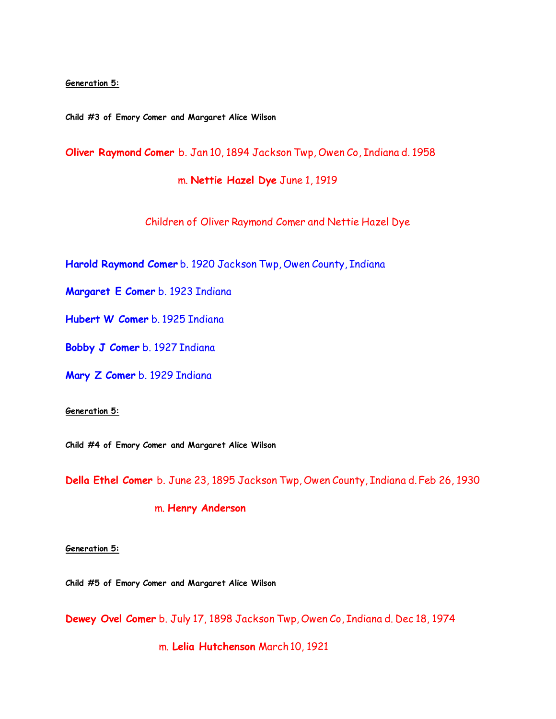#### **Generation 5:**

**Child #3 of Emory Comer and Margaret Alice Wilson**

**Oliver Raymond Comer** b. Jan 10, 1894 Jackson Twp, Owen Co, Indiana d. 1958

m. **Nettie Hazel Dye** June 1, 1919

Children of Oliver Raymond Comer and Nettie Hazel Dye

**Harold Raymond Comer** b. 1920 Jackson Twp, Owen County, Indiana

**Margaret E Comer** b. 1923 Indiana

**Hubert W Comer** b. 1925 Indiana

**Bobby J Comer** b. 1927 Indiana

**Mary Z Comer** b. 1929 Indiana

#### **Generation 5:**

**Child #4 of Emory Comer and Margaret Alice Wilson**

**Della Ethel Comer** b. June 23, 1895 Jackson Twp, Owen County, Indiana d. Feb 26, 1930

### m. **Henry Anderson**

**Generation 5:**

**Child #5 of Emory Comer and Margaret Alice Wilson**

**Dewey Ovel Comer** b. July 17, 1898 Jackson Twp, Owen Co, Indiana d. Dec 18, 1974

m. **Lelia Hutchenson** March 10, 1921